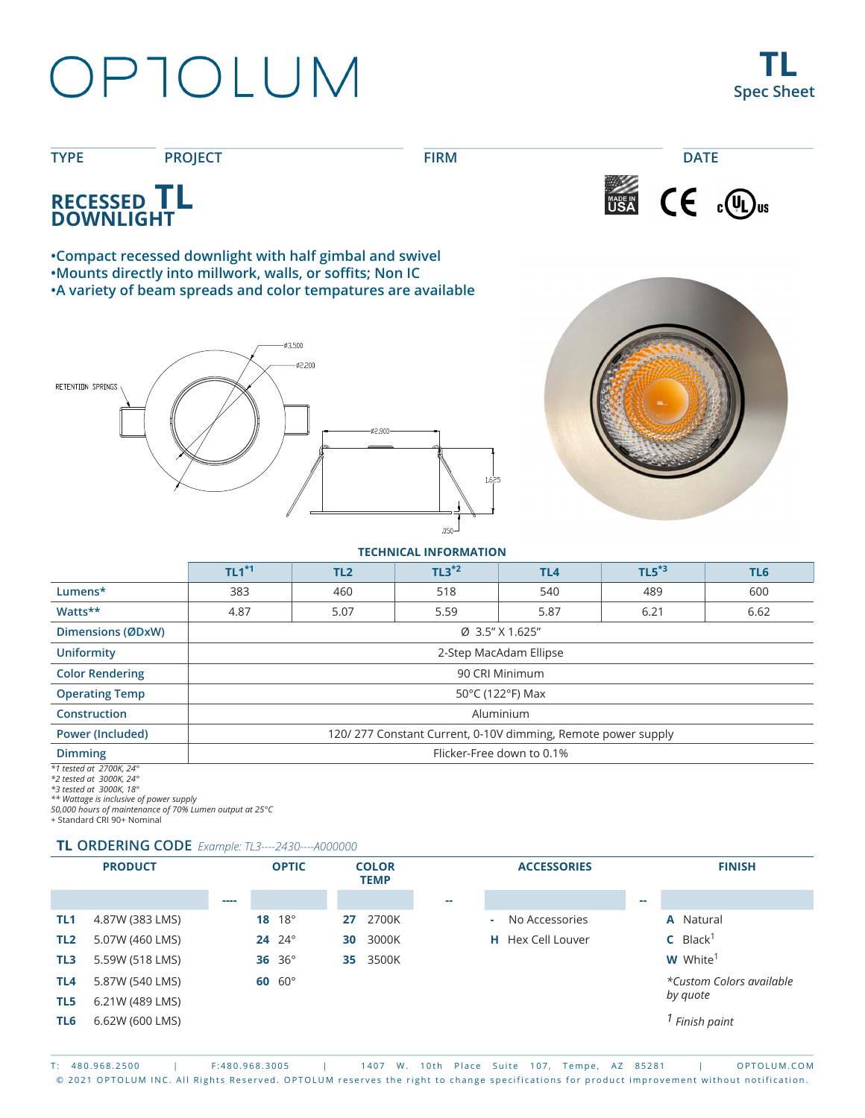# OPTOLUM

**TL Spec Sheet**





**•Compact recessed downlight with half gimbal and swivel •Mounts directly into millwork, walls, or soffits; Non IC •A variety of beam spreads and color tempatures are available**





**TECHNICAL INFORMATION**

|                                     | $TL1*1$                                                      | TL <sub>2</sub> | $TL3*2$ | TL <sub>4</sub> | $TL5*3$ | TL6  |  |  |
|-------------------------------------|--------------------------------------------------------------|-----------------|---------|-----------------|---------|------|--|--|
| Lumens*                             | 383                                                          | 460             | 518     | 540             | 489     | 600  |  |  |
| Watts**                             | 4.87                                                         | 5.07            | 5.59    | 5.87            | 6.21    | 6.62 |  |  |
| Dimensions (ØDxW)                   | Ø 3.5" X 1.625"                                              |                 |         |                 |         |      |  |  |
| <b>Uniformity</b>                   | 2-Step MacAdam Ellipse                                       |                 |         |                 |         |      |  |  |
| <b>Color Rendering</b>              | 90 CRI Minimum                                               |                 |         |                 |         |      |  |  |
| <b>Operating Temp</b>               | 50°C (122°F) Max                                             |                 |         |                 |         |      |  |  |
| <b>Construction</b>                 | Aluminium                                                    |                 |         |                 |         |      |  |  |
| <b>Power (Included)</b>             | 120/277 Constant Current, 0-10V dimming, Remote power supply |                 |         |                 |         |      |  |  |
| <b>Dimming</b>                      | Flicker-Free down to 0.1%                                    |                 |         |                 |         |      |  |  |
| $*1$ toctod at $2700K$ $24^{\circ}$ |                                                              |                 |         |                 |         |      |  |  |

*\*1 tested at 2700K, 24° \*2 tested at 3000K, 24°*

*\*3 tested at 3000K, 18° \*\* Wattage is inclusive of power supply*

*50,000 hours of maintenance of 70% Lumen output at 25°C*

+ Standard CRI 90+ Nominal

#### **TL ORDERING CODE** *Example: TL3----2430----A000000*

|                 | <b>PRODUCT</b>  |      | <b>OPTIC</b>    | <b>COLOR</b><br><b>TEMP</b> |        | <b>ACCESSORIES</b>       |    | <b>FINISH</b>               |
|-----------------|-----------------|------|-----------------|-----------------------------|--------|--------------------------|----|-----------------------------|
|                 |                 | ---- |                 |                             | $\sim$ |                          | -- |                             |
| TL <sub>1</sub> | 4.87W (383 LMS) |      | 18 $18^{\circ}$ | 2700K<br>27                 | a.     | No Accessories           |    | <b>A</b> Natural            |
| TL <sub>2</sub> | 5.07W (460 LMS) |      | $24^{o}$        | 3000K<br>30                 |        | <b>H</b> Hex Cell Louver |    | $C$ Black <sup>1</sup>      |
| TL3             | 5.59W (518 LMS) |      | 36 36°          | 3500K<br>35                 |        |                          |    | <b>W</b> White <sup>1</sup> |
| TL4             | 5.87W (540 LMS) |      | $60~60^\circ$   |                             |        |                          |    | *Custom Colors available    |
| TL5             | 6.21W (489 LMS) |      |                 |                             |        |                          |    | by quote                    |
| TL6             | 6.62W (600 LMS) |      |                 |                             |        |                          |    | Finish paint                |